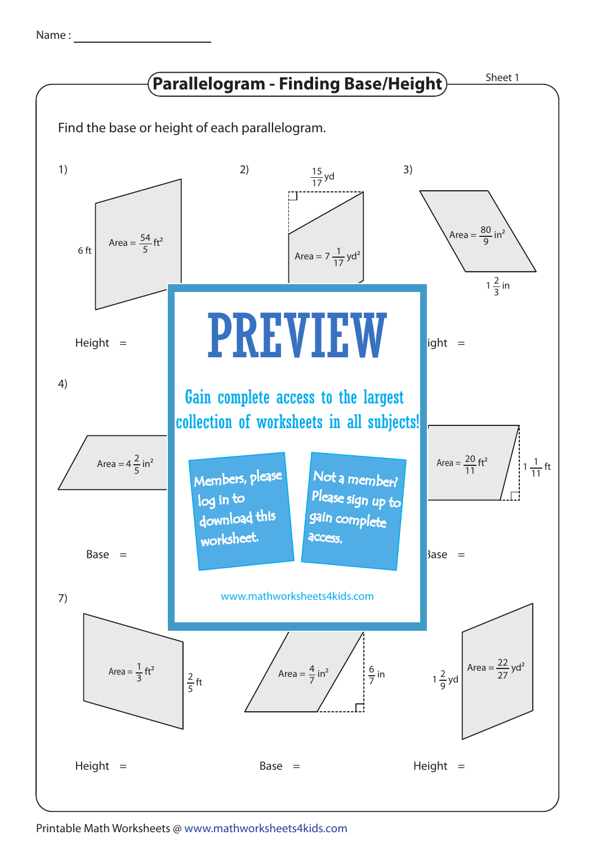